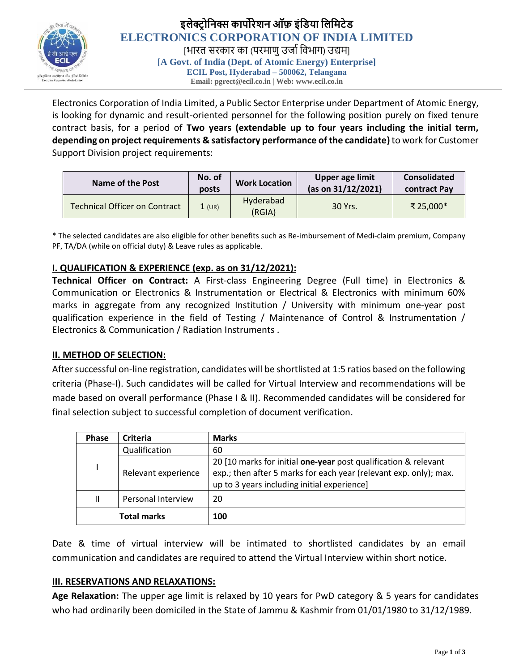

Electronics Corporation of India Limited, a Public Sector Enterprise under Department of Atomic Energy, is looking for dynamic and result-oriented personnel for the following position purely on fixed tenure contract basis, for a period of **Two years (extendable up to four years including the initial term, depending on project requirements & satisfactory performance of the candidate)** to work for Customer Support Division project requirements:

| Name of the Post                     | No. of<br>posts | <b>Work Location</b> | Upper age limit<br>(as on 31/12/2021) | <b>Consolidated</b><br>contract Pay |
|--------------------------------------|-----------------|----------------------|---------------------------------------|-------------------------------------|
| <b>Technical Officer on Contract</b> | 1 (UR)          | Hyderabad<br>(RGIA)  | 30 Yrs.                               | ₹ 25.000*                           |

\* The selected candidates are also eligible for other benefits such as Re-imbursement of Medi-claim premium, Company PF, TA/DA (while on official duty) & Leave rules as applicable.

# **I. QUALIFICATION & EXPERIENCE (exp. as on 31/12/2021):**

**Technical Officer on Contract:** A First-class Engineering Degree (Full time) in Electronics & Communication or Electronics & Instrumentation or Electrical & Electronics with minimum 60% marks in aggregate from any recognized Institution / University with minimum one-year post qualification experience in the field of Testing / Maintenance of Control & Instrumentation / Electronics & Communication / Radiation Instruments .

## **II. METHOD OF SELECTION:**

After successful on-line registration, candidates will be shortlisted at 1:5 ratios based on the following criteria (Phase-I). Such candidates will be called for Virtual Interview and recommendations will be made based on overall performance (Phase I & II). Recommended candidates will be considered for final selection subject to successful completion of document verification.

| <b>Phase</b>  | Criteria            | <b>Marks</b>                                                                                                                                                                        |
|---------------|---------------------|-------------------------------------------------------------------------------------------------------------------------------------------------------------------------------------|
| Qualification |                     | 60                                                                                                                                                                                  |
|               | Relevant experience | 20 [10 marks for initial one-year post qualification & relevant<br>exp.; then after 5 marks for each year (relevant exp. only); max.<br>up to 3 years including initial experience] |
| Ш             | Personal Interview  | 20                                                                                                                                                                                  |
|               | <b>Total marks</b>  | 100                                                                                                                                                                                 |

Date & time of virtual interview will be intimated to shortlisted candidates by an email communication and candidates are required to attend the Virtual Interview within short notice.

## **III. RESERVATIONS AND RELAXATIONS:**

**Age Relaxation:** The upper age limit is relaxed by 10 years for PwD category & 5 years for candidates who had ordinarily been domiciled in the State of Jammu & Kashmir from 01/01/1980 to 31/12/1989.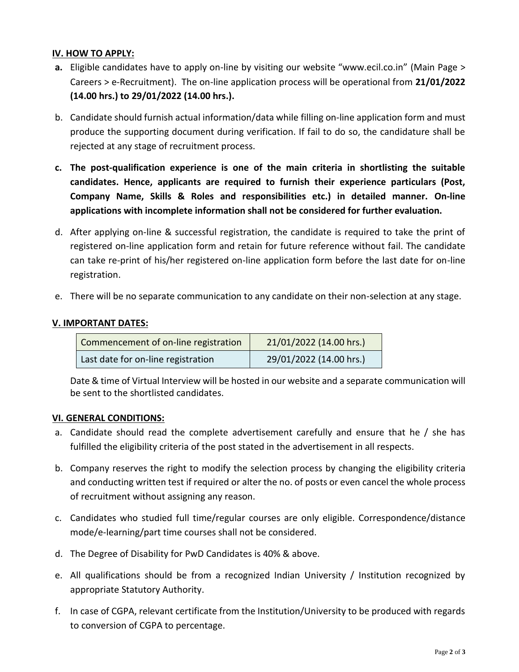# **IV. HOW TO APPLY:**

- **a.** Eligible candidates have to apply on-line by visiting our website "www.ecil.co.in" (Main Page > Careers > e-Recruitment). The on-line application process will be operational from **21/01/2022 (14.00 hrs.) to 29/01/2022 (14.00 hrs.).**
- b. Candidate should furnish actual information/data while filling on-line application form and must produce the supporting document during verification. If fail to do so, the candidature shall be rejected at any stage of recruitment process.
- **c. The post-qualification experience is one of the main criteria in shortlisting the suitable candidates. Hence, applicants are required to furnish their experience particulars (Post, Company Name, Skills & Roles and responsibilities etc.) in detailed manner. On-line applications with incomplete information shall not be considered for further evaluation.**
- d. After applying on-line & successful registration, the candidate is required to take the print of registered on-line application form and retain for future reference without fail. The candidate can take re-print of his/her registered on-line application form before the last date for on-line registration.
- e. There will be no separate communication to any candidate on their non-selection at any stage.

# **V. IMPORTANT DATES:**

| Commencement of on-line registration | 21/01/2022 (14.00 hrs.) |
|--------------------------------------|-------------------------|
| Last date for on-line registration   | 29/01/2022 (14.00 hrs.) |

Date & time of Virtual Interview will be hosted in our website and a separate communication will be sent to the shortlisted candidates.

## **VI. GENERAL CONDITIONS:**

- a. Candidate should read the complete advertisement carefully and ensure that he / she has fulfilled the eligibility criteria of the post stated in the advertisement in all respects.
- b. Company reserves the right to modify the selection process by changing the eligibility criteria and conducting written test if required or alter the no. of posts or even cancel the whole process of recruitment without assigning any reason.
- c. Candidates who studied full time/regular courses are only eligible. Correspondence/distance mode/e-learning/part time courses shall not be considered.
- d. The Degree of Disability for PwD Candidates is 40% & above.
- e. All qualifications should be from a recognized Indian University / Institution recognized by appropriate Statutory Authority.
- f. In case of CGPA, relevant certificate from the Institution/University to be produced with regards to conversion of CGPA to percentage.